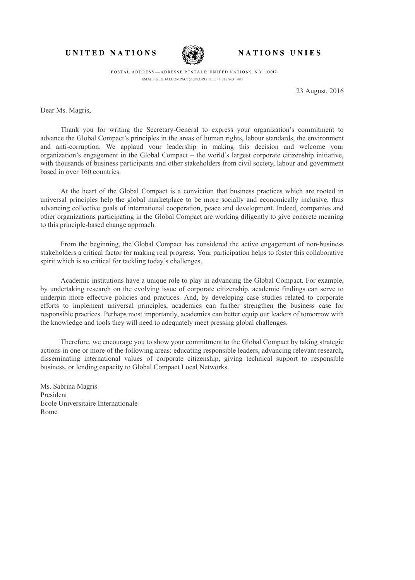UNITED NATIONS



## NATIONS UNIES

POSTAL ADDRESS-ADRESSE POSTALE: UNITED NATIONS, N.Y. 10017 EMAIL: GLOBALCOMPACT@UN.ORG TEL: +1 212 963 1490

23 August, 2016

Dear Ms. Magris,

Thank you for writing the Secretary-General to express your organization's commitment to advance the Global Compact's principles in the areas of human rights, labour standards, the environment and anti-corruption. We applaud your leadership in making this decision and welcome your organization's engagement in the Global Compact – the world's largest corporate citizenship initiative, with thousands of business participants and other stakeholders from civil society, labour and government based in over 160 countries.

At the heart of the Global Compact is a conviction that business practices which are rooted in universal principles help the global marketplace to be more socially and economically inclusive, thus advancing collective goals of international cooperation, peace and development. Indeed, companies and other organizations participating in the Global Compact are working diligently to give concrete meaning to this principle-based change approach.

From the beginning, the Global Compact has considered the active engagement of non-business stakeholders a critical factor for making real progress. Your participation helps to foster this collaborative spirit which is so critical for tackling today's challenges.

Academic institutions have a unique role to play in advancing the Global Compact. For example, by undertaking research on the evolving issue of corporate citizenship, academic findings can serve to underpin more effective policies and practices. And, by developing case studies related to corporate efforts to implement universal principles, academics can further strengthen the business case for responsible practices. Perhaps most importantly, academics can better equip our leaders of tomorrow with the knowledge and tools they will need to adequately meet pressing global challenges.

Therefore, we encourage you to show your commitment to the Global Compact by taking strategic actions in one or more of the following areas: educating responsible leaders, advancing relevant research, disseminating international values of corporate citizenship, giving technical support to responsible business, or lending capacity to Global Compact Local Networks.

Ms. Sabrina Magris President Ecole Universitaire Internationale Rome